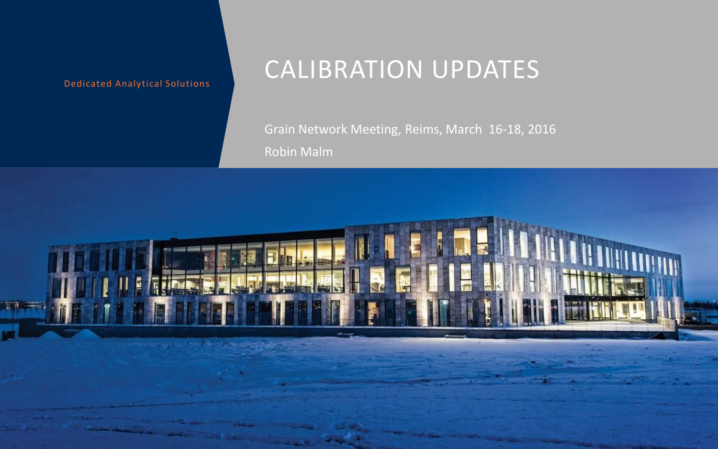### CALIBRATION UPDATES

Grain Network Meeting, Reims, March 16-18, 2016 Robin Malm

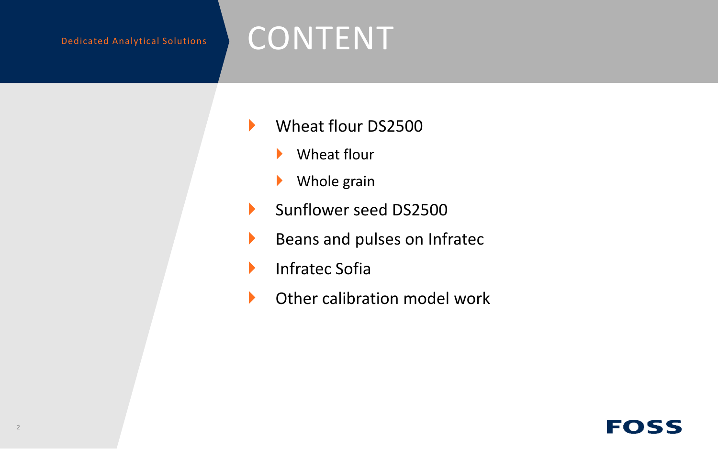## CONTENT

- Wheat flour DS2500
	- ▶ Wheat flour
	- ▶ Whole grain
- Sunflower seed DS2500
- Beans and pulses on Infratec
- **Infratec Sofia**
- **In Other calibration model work**

### FOSS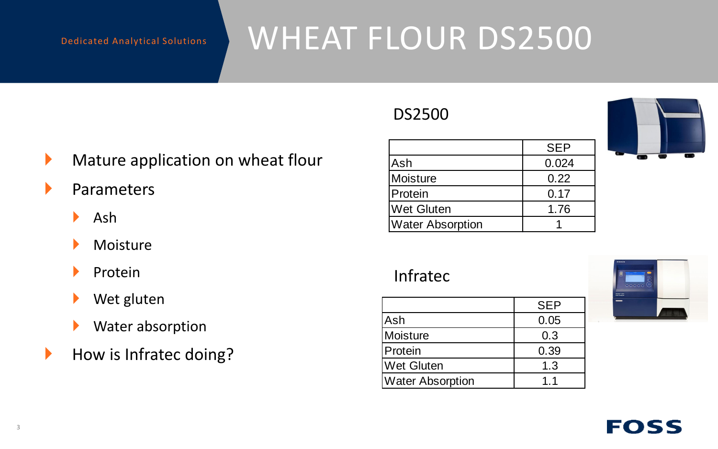## WHEAT FLOUR DS2500

### DS2500

- **Mature application on wheat flour**
- **Parameters** 
	- Ash
	- Moisture
	- Protein
	- ▶ Wet gluten
	- **Water absorption**
- $\blacktriangleright$  How is Infratec doing?

|                         | <b>SEP</b> |  |
|-------------------------|------------|--|
| Ash                     | 0.024      |  |
| Moisture                | 0.22       |  |
| Protein                 | 0.17       |  |
| <b>Wet Gluten</b>       | 1.76       |  |
| <b>Water Absorption</b> |            |  |

### Infratec

|                         | <b>SEP</b> |
|-------------------------|------------|
| Ash                     | 0.05       |
| Moisture                | 0.3        |
| Protein                 | 0.39       |
| <b>Wet Gluten</b>       | 1.3        |
| <b>Water Absorption</b> | 11         |

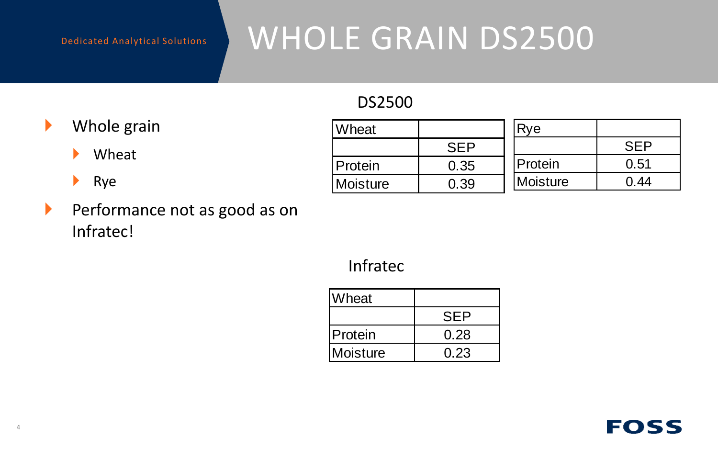## WHOLE GRAIN DS2500

### DS2500

### ▶ Whole grain

### Wheat

- **Rye**
- Performance not as good as on Infratec!

| Wheat           |      | Rve      |      |
|-----------------|------|----------|------|
|                 | SFP  |          |      |
| Protein         | 0.35 | Protein  | 0.51 |
| <b>Moisture</b> | 0.39 | Moisture |      |

### Infratec

| Wheat    |            |
|----------|------------|
|          | <b>SFP</b> |
| Protein  | 0.28       |
| Moisture | 0.23       |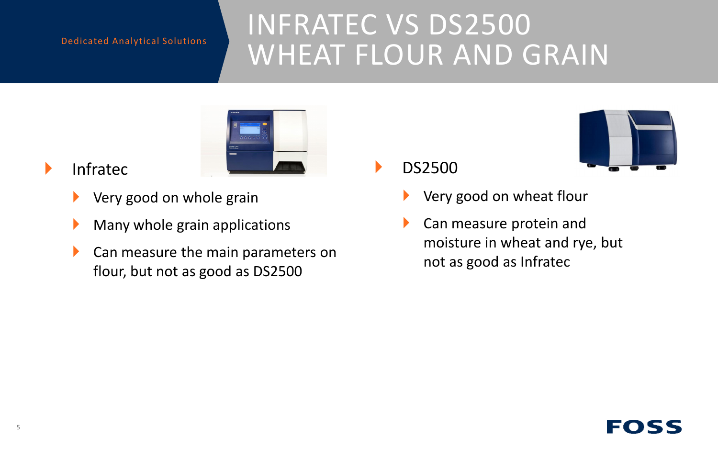## INFRATEC VS DS2500 WHEAT FLOUR AND GRAIN



### Infratec

- Very good on whole grain
- Many whole grain applications
- **Can measure the main parameters on** flour, but not as good as DS2500

DS2500



- Very good on wheat flour
- Can measure protein and moisture in wheat and rye, but not as good as Infratec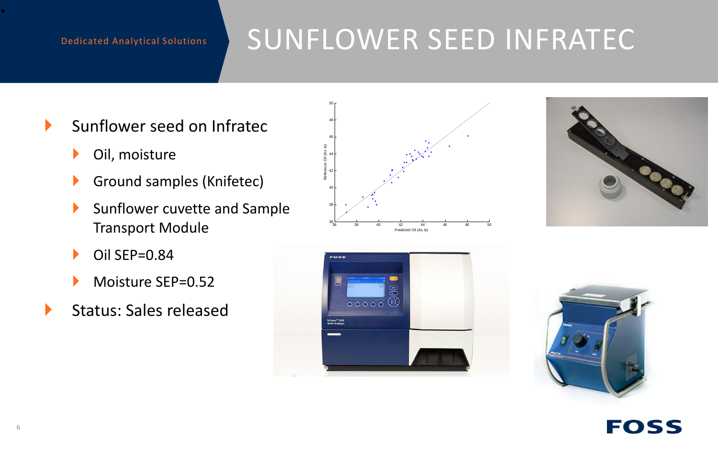## SUNFLOWER SEED INFRATEC

- Sunflower seed on Infratec
	- Oil, moisture
	- **Ground samples (Knifetec)**
	- Sunflower cuvette and Sample Transport Module
	- $\triangleright$  Oil SEP=0.84
	- Moisture SEP=0.52
- $\blacktriangleright$  Status: Sales released









•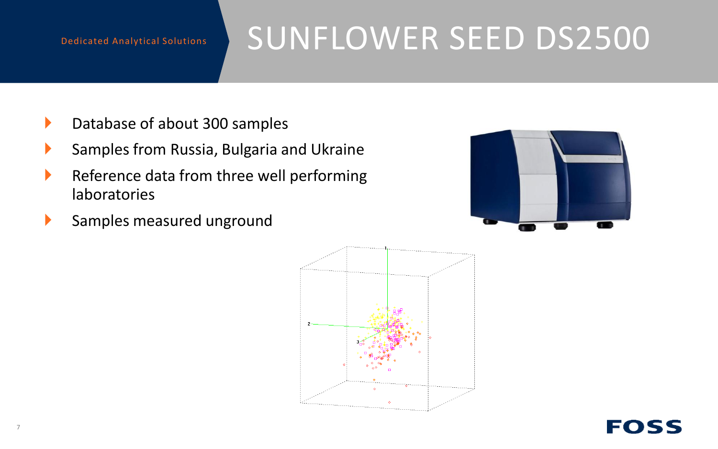## SUNFLOWER SEED DS2500

- Database of about 300 samples
- Samples from Russia, Bulgaria and Ukraine
- $\blacktriangleright$  Reference data from three well performing laboratories
- Samples measured unground



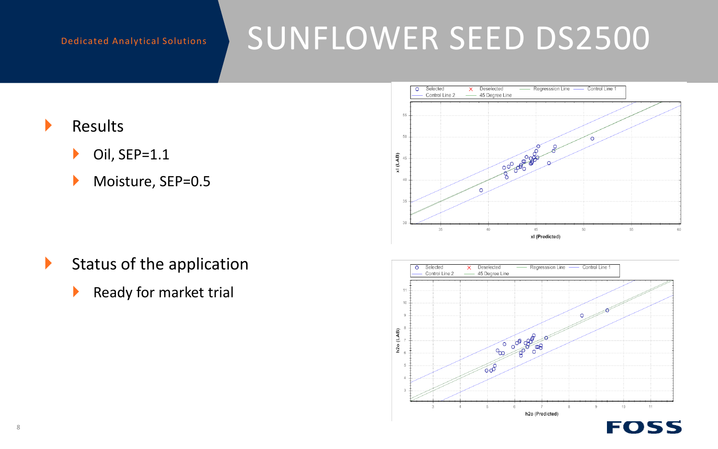## SUNFLOWER SEED DS2500

- $\blacktriangleright$  Results
	- $\triangleright$  Oil, SEP=1.1
	- Moisture, SEP=0.5

X Deselected Selected Regresssion Line Control Line 1  $\overline{\circ}$ Control Line 2 45 Degree Line 50 000000000 xl (LAB) 40 45 50 55 xl (Predicted)

- $\blacktriangleright$  Status of the application
	- $\blacktriangleright$  Ready for market trial

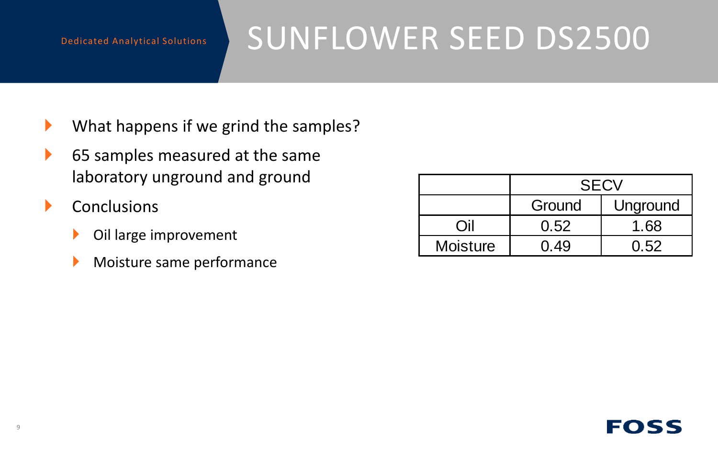## SUNFLOWER SEED DS2500

- $\blacktriangleright$  What happens if we grind the samples?
- ▶ 65 samples measured at the same laboratory unground and ground
- $\blacktriangleright$  Conclusions
	- ▶ Oil large improvement
	- Moisture same performance

|                 | <b>SECV</b> |          |  |
|-----------------|-------------|----------|--|
|                 | Ground      | Unground |  |
| ่ 11            | 0.52        | 1.68     |  |
| <b>Moisture</b> | .49         | በ 52     |  |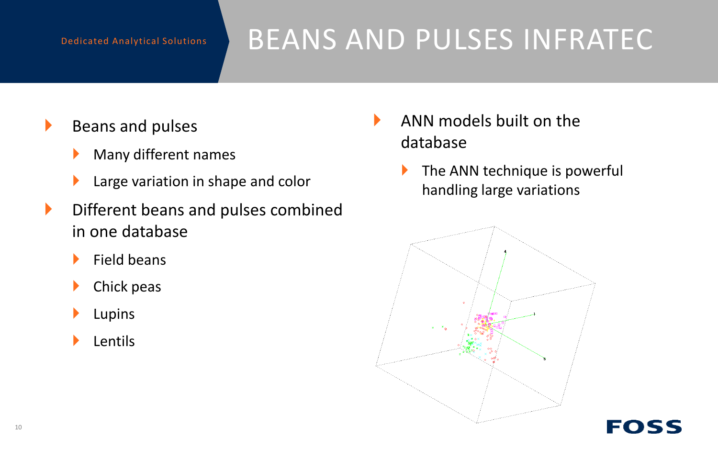## BEANS AND PULSES INFRATEC

- $\blacktriangleright$  Beans and pulses
	- Many different names
	- **Large variation in shape and color**
- $\blacktriangleright$  Different beans and pulses combined in one database
	- Field beans
	- Chick peas
	- Lupins
	- Lentils
- ANN models built on the database
	- The ANN technique is powerful handling large variations

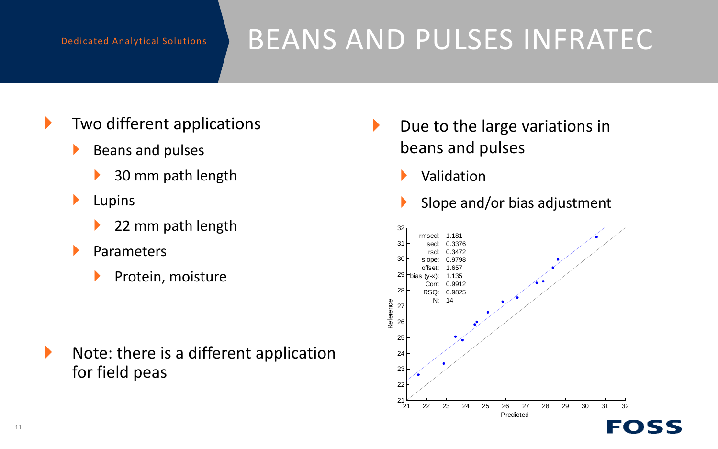## BEANS AND PULSES INFRATEC

- $\blacktriangleright$  Two different applications
	- $\blacktriangleright$  Beans and pulses
		- 30 mm path length
	- $\blacktriangleright$  Lupins
		- 22 mm path length
	- Parameters
		- Protein, moisture

 $\blacktriangleright$  Note: there is a different application for field peas

- Due to the large variations in beans and pulses
	- Validation
	- Slope and/or bias adjustment



11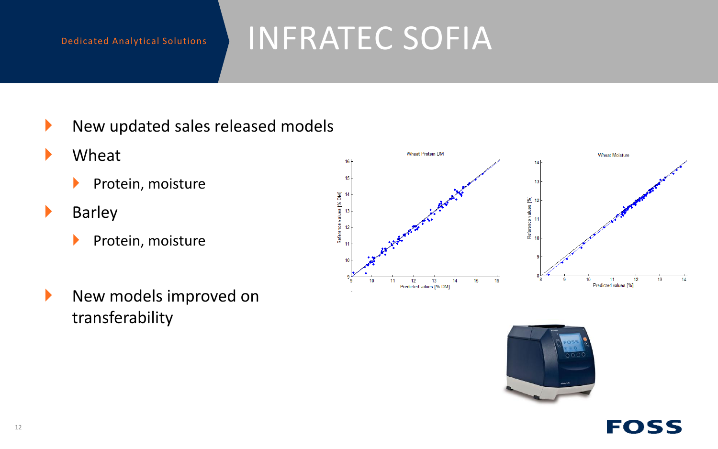## INFRATEC SOFIA

- $\blacktriangleright$  New updated sales released models
- **Wheat** 
	- $\blacktriangleright$  Protein, moisture
- **Barley** 
	- $\blacktriangleright$  Protein, moisture
- New models improved on transferability





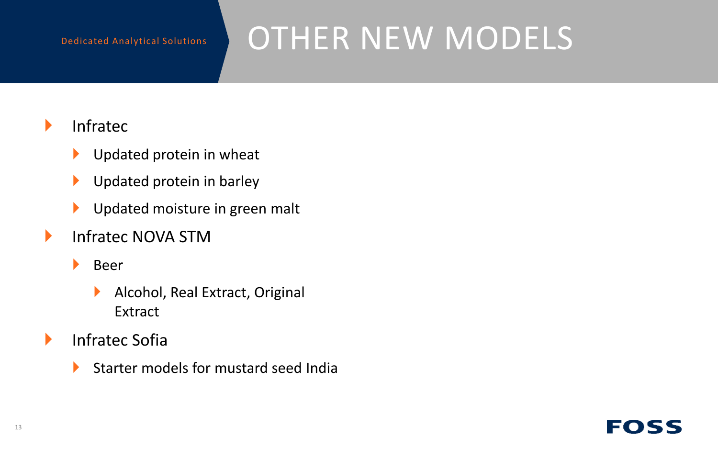## OTHER NEW MODELS

### $\blacktriangleright$  Infratec

- Updated protein in wheat
- Updated protein in barley
- **IDED** Updated moisture in green malt
- **Infratec NOVA STM** 
	- **Beer** 
		- Alcohol, Real Extract, Original Extract
- **Infratec Sofia** 
	- Starter models for mustard seed India